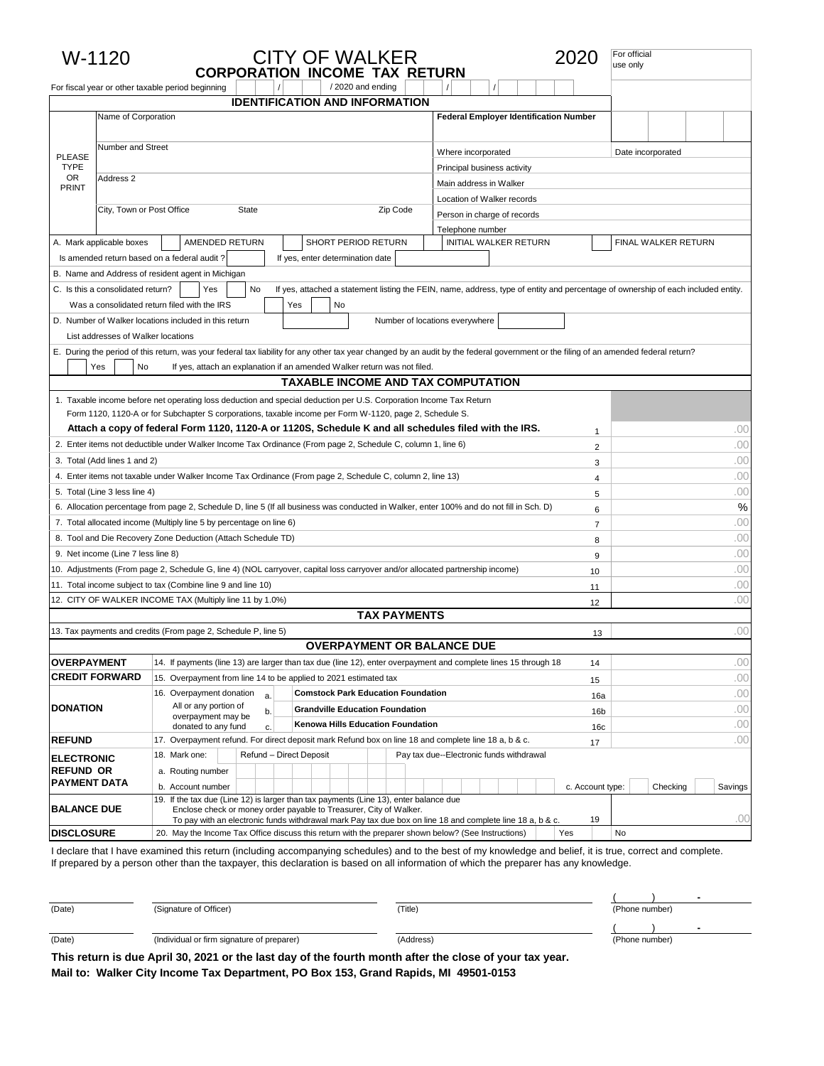| W-1120                                                                                                                              | <b>CITY OF WALKER</b><br><b>CORPORATION INCOME TAX RETURN</b>                                                                                                                                                                                                            | 2020                                                                                                                              | For official<br>use only |
|-------------------------------------------------------------------------------------------------------------------------------------|--------------------------------------------------------------------------------------------------------------------------------------------------------------------------------------------------------------------------------------------------------------------------|-----------------------------------------------------------------------------------------------------------------------------------|--------------------------|
| For fiscal year or other taxable period beginning                                                                                   | /2020 and ending                                                                                                                                                                                                                                                         |                                                                                                                                   |                          |
|                                                                                                                                     | <b>IDENTIFICATION AND INFORMATION</b>                                                                                                                                                                                                                                    |                                                                                                                                   |                          |
| Name of Corporation                                                                                                                 |                                                                                                                                                                                                                                                                          | <b>Federal Employer Identification Number</b>                                                                                     |                          |
| Number and Street                                                                                                                   |                                                                                                                                                                                                                                                                          | Where incorporated                                                                                                                | Date incorporated        |
| <b>PLEASE</b><br><b>TYPE</b>                                                                                                        |                                                                                                                                                                                                                                                                          | Principal business activity                                                                                                       |                          |
| OR<br>Address 2                                                                                                                     |                                                                                                                                                                                                                                                                          | Main address in Walker                                                                                                            |                          |
| PRINT                                                                                                                               |                                                                                                                                                                                                                                                                          | Location of Walker records                                                                                                        |                          |
| City, Town or Post Office                                                                                                           | State<br>Zip Code                                                                                                                                                                                                                                                        | Person in charge of records                                                                                                       |                          |
|                                                                                                                                     |                                                                                                                                                                                                                                                                          | Telephone number                                                                                                                  |                          |
| A. Mark applicable boxes                                                                                                            | AMENDED RETURN<br>SHORT PERIOD RETURN                                                                                                                                                                                                                                    | <b>INITIAL WALKER RETURN</b>                                                                                                      | FINAL WALKER RETURN      |
| Is amended return based on a federal audit?                                                                                         | If yes, enter determination date                                                                                                                                                                                                                                         |                                                                                                                                   |                          |
|                                                                                                                                     | B. Name and Address of resident agent in Michigan                                                                                                                                                                                                                        |                                                                                                                                   |                          |
| C. Is this a consolidated return?                                                                                                   | No<br>Yes<br>Was a consolidated return filed with the IRS<br>No<br>Yes                                                                                                                                                                                                   | If yes, attached a statement listing the FEIN, name, address, type of entity and percentage of ownership of each included entity. |                          |
|                                                                                                                                     | D. Number of Walker locations included in this return                                                                                                                                                                                                                    | Number of locations everywhere                                                                                                    |                          |
| List addresses of Walker locations                                                                                                  |                                                                                                                                                                                                                                                                          |                                                                                                                                   |                          |
|                                                                                                                                     | E. During the period of this return, was your federal tax liability for any other tax year changed by an audit by the federal government or the filing of an amended federal return?                                                                                     |                                                                                                                                   |                          |
| Yes<br>No                                                                                                                           | If yes, attach an explanation if an amended Walker return was not filed.                                                                                                                                                                                                 |                                                                                                                                   |                          |
|                                                                                                                                     | <b>TAXABLE INCOME AND TAX COMPUTATION</b>                                                                                                                                                                                                                                |                                                                                                                                   |                          |
|                                                                                                                                     | 1. Taxable income before net operating loss deduction and special deduction per U.S. Corporation Income Tax Return<br>Form 1120, 1120-A or for Subchapter S corporations, taxable income per Form W-1120, page 2, Schedule S.                                            |                                                                                                                                   |                          |
|                                                                                                                                     | Attach a copy of federal Form 1120, 1120-A or 1120S, Schedule K and all schedules filed with the IRS.                                                                                                                                                                    | 1                                                                                                                                 | .00                      |
|                                                                                                                                     | 2. Enter items not deductible under Walker Income Tax Ordinance (From page 2, Schedule C, column 1, line 6)                                                                                                                                                              | $\overline{2}$                                                                                                                    | .00                      |
| 3. Total (Add lines 1 and 2)                                                                                                        |                                                                                                                                                                                                                                                                          | 3                                                                                                                                 | .00                      |
| 4. Enter items not taxable under Walker Income Tax Ordinance (From page 2, Schedule C, column 2, line 13)                           |                                                                                                                                                                                                                                                                          | 4                                                                                                                                 | .00                      |
| 5. Total (Line 3 less line 4)                                                                                                       |                                                                                                                                                                                                                                                                          | 5                                                                                                                                 | .00                      |
|                                                                                                                                     | 6. Allocation percentage from page 2, Schedule D, line 5 (If all business was conducted in Walker, enter 100% and do not fill in Sch. D)                                                                                                                                 | 6                                                                                                                                 | %                        |
|                                                                                                                                     | 7. Total allocated income (Multiply line 5 by percentage on line 6)                                                                                                                                                                                                      | $\overline{7}$                                                                                                                    | .00                      |
|                                                                                                                                     | 8. Tool and Die Recovery Zone Deduction (Attach Schedule TD)                                                                                                                                                                                                             | 8                                                                                                                                 | .00                      |
| 9. Net income (Line 7 less line 8)                                                                                                  |                                                                                                                                                                                                                                                                          | 9                                                                                                                                 | .00                      |
| 10. Adjustments (From page 2, Schedule G, line 4) (NOL carryover, capital loss carryover and/or allocated partnership income)<br>10 |                                                                                                                                                                                                                                                                          | .00                                                                                                                               |                          |
|                                                                                                                                     | 11. Total income subject to tax (Combine line 9 and line 10)                                                                                                                                                                                                             | 11                                                                                                                                | .00                      |
|                                                                                                                                     | 12. CITY OF WALKER INCOME TAX (Multiply line 11 by 1.0%)                                                                                                                                                                                                                 | 12                                                                                                                                | .00                      |
|                                                                                                                                     | <b>TAX PAYMENTS</b>                                                                                                                                                                                                                                                      |                                                                                                                                   |                          |
|                                                                                                                                     | 13. Tax payments and credits (From page 2, Schedule P, line 5)                                                                                                                                                                                                           | 13                                                                                                                                | .00                      |
|                                                                                                                                     | <b>OVERPAYMENT OR BALANCE DUE</b>                                                                                                                                                                                                                                        |                                                                                                                                   |                          |
| <b>OVERPAYMENT</b>                                                                                                                  | 14. If payments (line 13) are larger than tax due (line 12), enter overpayment and complete lines 15 through 18                                                                                                                                                          | 14                                                                                                                                | .00                      |
| <b>CREDIT FORWARD</b>                                                                                                               | 15. Overpayment from line 14 to be applied to 2021 estimated tax                                                                                                                                                                                                         | 15                                                                                                                                | .00                      |
|                                                                                                                                     | 16. Overpayment donation<br><b>Comstock Park Education Foundation</b><br>a.                                                                                                                                                                                              | 16a                                                                                                                               | .00                      |
| <b>DONATION</b>                                                                                                                     | All or any portion of<br><b>Grandville Education Foundation</b><br>b.                                                                                                                                                                                                    | 16 <sub>b</sub>                                                                                                                   | .00                      |
|                                                                                                                                     | overpayment may be<br>Kenowa Hills Education Foundation<br>donated to any fund<br>c.                                                                                                                                                                                     | 16c                                                                                                                               | .00                      |
| <b>REFUND</b>                                                                                                                       | 17. Overpayment refund. For direct deposit mark Refund box on line 18 and complete line 18 a, b & c.                                                                                                                                                                     | 17                                                                                                                                | .00                      |
| <b>ELECTRONIC</b>                                                                                                                   | 18. Mark one:<br>Refund - Direct Deposit                                                                                                                                                                                                                                 | Pay tax due--Electronic funds withdrawal                                                                                          |                          |
| <b>REFUND OR</b>                                                                                                                    | a. Routing number                                                                                                                                                                                                                                                        |                                                                                                                                   |                          |
| <b>PAYMENT DATA</b>                                                                                                                 | b. Account number                                                                                                                                                                                                                                                        | c. Account type:                                                                                                                  | Checking<br>Savings      |
| <b>BALANCE DUE</b>                                                                                                                  | 19. If the tax due (Line 12) is larger than tax payments (Line 13), enter balance due<br>Enclose check or money order payable to Treasurer, City of Walker.<br>To pay with an electronic funds withdrawal mark Pay tax due box on line 18 and complete line 18 a, b & c. | 19                                                                                                                                | .OC                      |
| <b>DISCLOSURE</b>                                                                                                                   | 20. May the Income Tax Office discuss this return with the preparer shown below? (See Instructions)                                                                                                                                                                      | Yes                                                                                                                               | No                       |

I declare that I have examined this return (including accompanying schedules) and to the best of my knowledge and belief, it is true, correct and complete. If prepared by a person other than the taxpayer, this declaration is based on all information of which the preparer has any knowledge.

| (Date) | (Signature of Officer)                     | 'Title)   | (Phone number) |
|--------|--------------------------------------------|-----------|----------------|
|        |                                            |           |                |
| (Date) | (Individual or firm signature of preparer) | (Address) | (Phone number) |
| $-1$   | .                                          | $\sim$    |                |

**This return is due April 30, 2021 or the last day of the fourth month after the close of your tax year. Mail to: Walker City Income Tax Department, PO Box 153, Grand Rapids, MI 49501-0153**